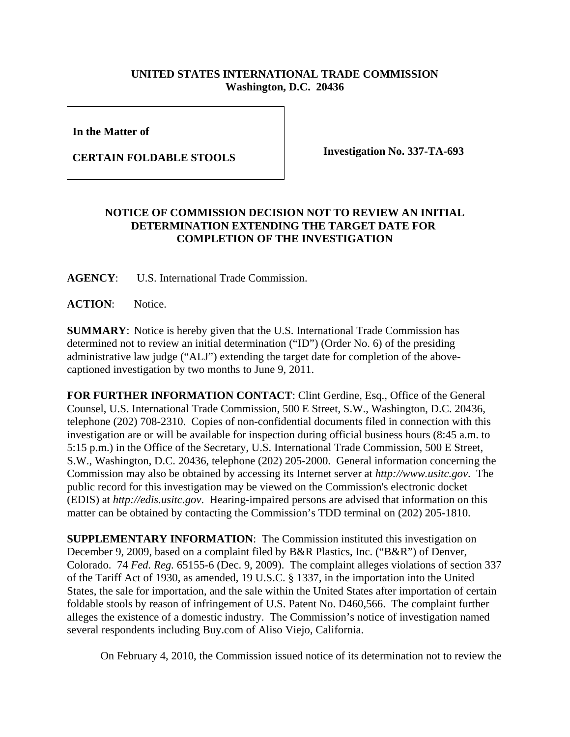## **UNITED STATES INTERNATIONAL TRADE COMMISSION Washington, D.C. 20436**

**In the Matter of** 

**CERTAIN FOLDABLE STOOLS Investigation No. 337-TA-693**

## **NOTICE OF COMMISSION DECISION NOT TO REVIEW AN INITIAL DETERMINATION EXTENDING THE TARGET DATE FOR COMPLETION OF THE INVESTIGATION**

**AGENCY**: U.S. International Trade Commission.

**ACTION**: Notice.

**SUMMARY**: Notice is hereby given that the U.S. International Trade Commission has determined not to review an initial determination ("ID") (Order No. 6) of the presiding administrative law judge ("ALJ") extending the target date for completion of the abovecaptioned investigation by two months to June 9, 2011.

**FOR FURTHER INFORMATION CONTACT**: Clint Gerdine, Esq., Office of the General Counsel, U.S. International Trade Commission, 500 E Street, S.W., Washington, D.C. 20436, telephone (202) 708-2310. Copies of non-confidential documents filed in connection with this investigation are or will be available for inspection during official business hours (8:45 a.m. to 5:15 p.m.) in the Office of the Secretary, U.S. International Trade Commission, 500 E Street, S.W., Washington, D.C. 20436, telephone (202) 205-2000. General information concerning the Commission may also be obtained by accessing its Internet server at *http://www.usitc.gov*. The public record for this investigation may be viewed on the Commission's electronic docket (EDIS) at *http://edis.usitc.gov*. Hearing-impaired persons are advised that information on this matter can be obtained by contacting the Commission's TDD terminal on (202) 205-1810.

**SUPPLEMENTARY INFORMATION**: The Commission instituted this investigation on December 9, 2009, based on a complaint filed by B&R Plastics, Inc. ("B&R") of Denver, Colorado. 74 *Fed. Reg.* 65155-6 (Dec. 9, 2009). The complaint alleges violations of section 337 of the Tariff Act of 1930, as amended, 19 U.S.C. § 1337, in the importation into the United States, the sale for importation, and the sale within the United States after importation of certain foldable stools by reason of infringement of U.S. Patent No. D460,566. The complaint further alleges the existence of a domestic industry. The Commission's notice of investigation named several respondents including Buy.com of Aliso Viejo, California.

On February 4, 2010, the Commission issued notice of its determination not to review the